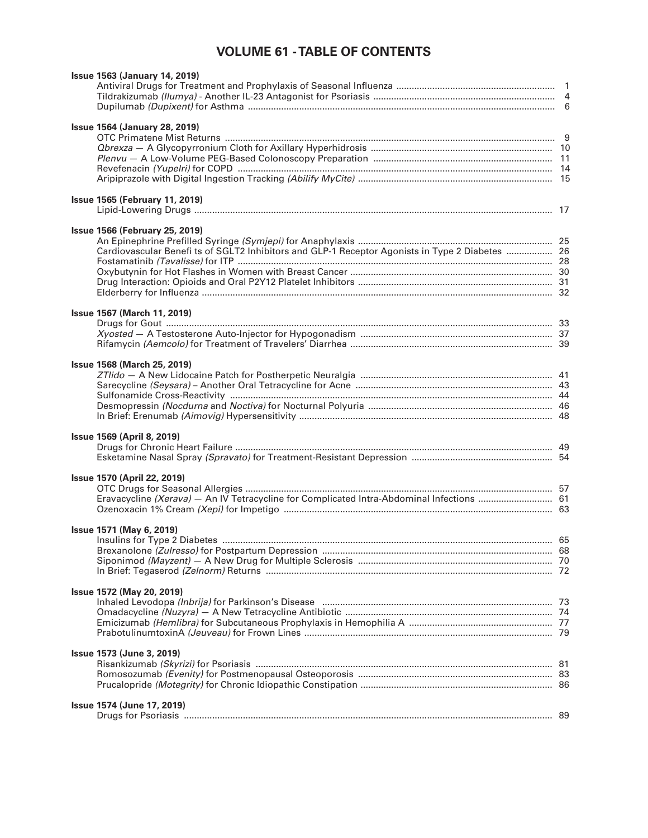## **VOLUME 61 - TABLE OF CONTENTS**

| <b>Issue 1563 (January 14, 2019)</b>                                                            |  |
|-------------------------------------------------------------------------------------------------|--|
|                                                                                                 |  |
|                                                                                                 |  |
|                                                                                                 |  |
|                                                                                                 |  |
| <b>Issue 1564 (January 28, 2019)</b>                                                            |  |
|                                                                                                 |  |
|                                                                                                 |  |
|                                                                                                 |  |
|                                                                                                 |  |
|                                                                                                 |  |
|                                                                                                 |  |
| <b>Issue 1565 (February 11, 2019)</b>                                                           |  |
|                                                                                                 |  |
|                                                                                                 |  |
| <b>Issue 1566 (February 25, 2019)</b>                                                           |  |
|                                                                                                 |  |
| Cardiovascular Benefi ts of SGLT2 Inhibitors and GLP-1 Receptor Agonists in Type 2 Diabetes  26 |  |
|                                                                                                 |  |
|                                                                                                 |  |
|                                                                                                 |  |
|                                                                                                 |  |
|                                                                                                 |  |
| <b>Issue 1567 (March 11, 2019)</b>                                                              |  |
|                                                                                                 |  |
|                                                                                                 |  |
|                                                                                                 |  |
|                                                                                                 |  |
| <b>Issue 1568 (March 25, 2019)</b>                                                              |  |
|                                                                                                 |  |
|                                                                                                 |  |
|                                                                                                 |  |
|                                                                                                 |  |
|                                                                                                 |  |
|                                                                                                 |  |
| <b>Issue 1569 (April 8, 2019)</b>                                                               |  |
|                                                                                                 |  |
|                                                                                                 |  |
|                                                                                                 |  |
| <b>Issue 1570 (April 22, 2019)</b>                                                              |  |
|                                                                                                 |  |
| Eravacycline (Xerava) - An IV Tetracycline for Complicated Intra-Abdominal Infections  61       |  |
|                                                                                                 |  |
|                                                                                                 |  |
| Issue 1571 (May 6, 2019)                                                                        |  |
|                                                                                                 |  |
|                                                                                                 |  |
|                                                                                                 |  |
|                                                                                                 |  |
|                                                                                                 |  |
| Issue 1572 (May 20, 2019)                                                                       |  |
|                                                                                                 |  |
|                                                                                                 |  |
|                                                                                                 |  |
|                                                                                                 |  |
|                                                                                                 |  |
| Issue 1573 (June 3, 2019)                                                                       |  |
|                                                                                                 |  |
|                                                                                                 |  |
|                                                                                                 |  |
|                                                                                                 |  |
| Issue 1574 (June 17, 2019)                                                                      |  |
|                                                                                                 |  |